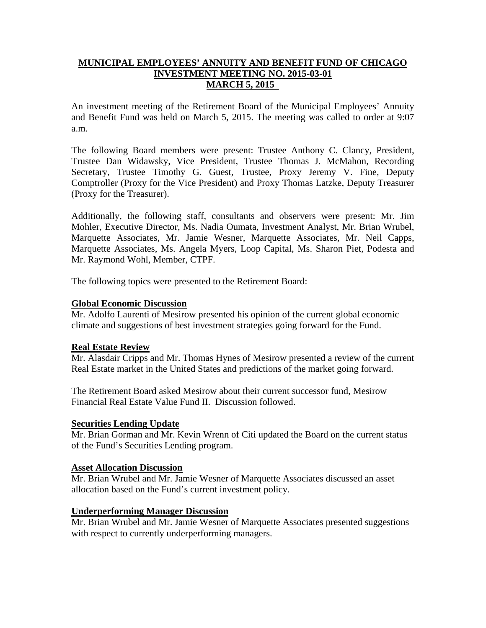## **MUNICIPAL EMPLOYEES' ANNUITY AND BENEFIT FUND OF CHICAGO INVESTMENT MEETING NO. 2015-03-01 MARCH 5, 2015**

An investment meeting of the Retirement Board of the Municipal Employees' Annuity and Benefit Fund was held on March 5, 2015. The meeting was called to order at 9:07 a.m.

The following Board members were present: Trustee Anthony C. Clancy, President, Trustee Dan Widawsky, Vice President, Trustee Thomas J. McMahon, Recording Secretary, Trustee Timothy G. Guest, Trustee, Proxy Jeremy V. Fine, Deputy Comptroller (Proxy for the Vice President) and Proxy Thomas Latzke, Deputy Treasurer (Proxy for the Treasurer).

Additionally, the following staff, consultants and observers were present: Mr. Jim Mohler, Executive Director, Ms. Nadia Oumata, Investment Analyst, Mr. Brian Wrubel, Marquette Associates, Mr. Jamie Wesner, Marquette Associates, Mr. Neil Capps, Marquette Associates, Ms. Angela Myers, Loop Capital, Ms. Sharon Piet, Podesta and Mr. Raymond Wohl, Member, CTPF.

The following topics were presented to the Retirement Board:

### **Global Economic Discussion**

Mr. Adolfo Laurenti of Mesirow presented his opinion of the current global economic climate and suggestions of best investment strategies going forward for the Fund.

## **Real Estate Review**

Mr. Alasdair Cripps and Mr. Thomas Hynes of Mesirow presented a review of the current Real Estate market in the United States and predictions of the market going forward.

The Retirement Board asked Mesirow about their current successor fund, Mesirow Financial Real Estate Value Fund II. Discussion followed.

#### **Securities Lending Update**

Mr. Brian Gorman and Mr. Kevin Wrenn of Citi updated the Board on the current status of the Fund's Securities Lending program.

#### **Asset Allocation Discussion**

Mr. Brian Wrubel and Mr. Jamie Wesner of Marquette Associates discussed an asset allocation based on the Fund's current investment policy.

## **Underperforming Manager Discussion**

Mr. Brian Wrubel and Mr. Jamie Wesner of Marquette Associates presented suggestions with respect to currently underperforming managers.